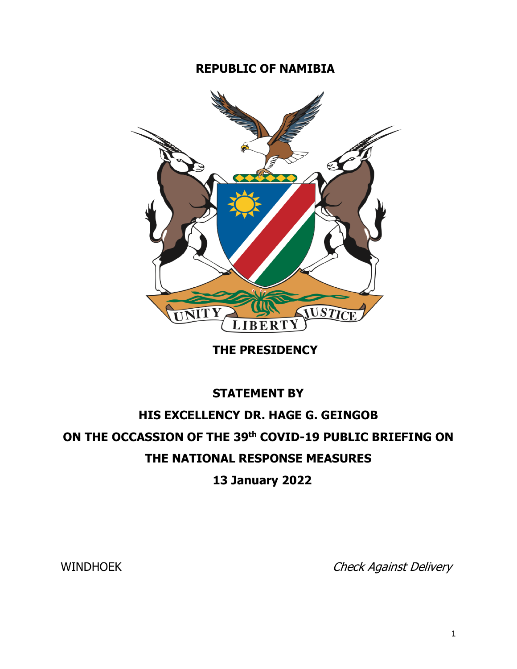## **REPUBLIC OF NAMIBIA**



**THE PRESIDENCY**

## **STATEMENT BY HIS EXCELLENCY DR. HAGE G. GEINGOB ON THE OCCASSION OF THE 39th COVID-19 PUBLIC BRIEFING ON THE NATIONAL RESPONSE MEASURES**

**13 January 2022** 

WINDHOEK Check Against Delivery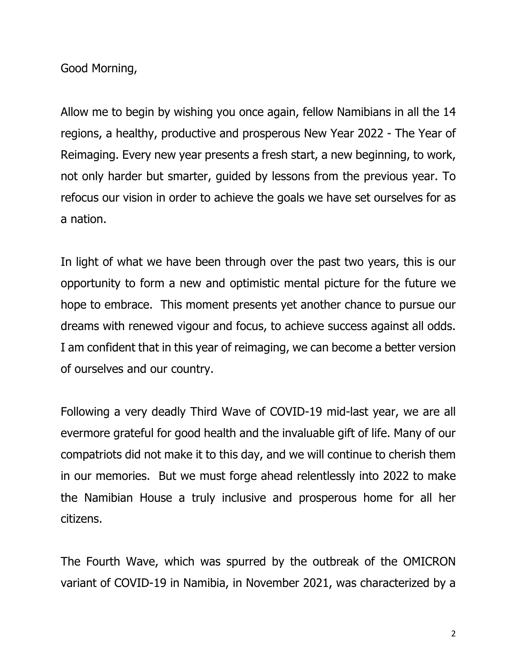Good Morning,

Allow me to begin by wishing you once again, fellow Namibians in all the 14 regions, a healthy, productive and prosperous New Year 2022 - The Year of Reimaging. Every new year presents a fresh start, a new beginning, to work, not only harder but smarter, guided by lessons from the previous year. To refocus our vision in order to achieve the goals we have set ourselves for as a nation.

In light of what we have been through over the past two years, this is our opportunity to form a new and optimistic mental picture for the future we hope to embrace. This moment presents yet another chance to pursue our dreams with renewed vigour and focus, to achieve success against all odds. I am confident that in this year of reimaging, we can become a better version of ourselves and our country.

Following a very deadly Third Wave of COVID-19 mid-last year, we are all evermore grateful for good health and the invaluable gift of life. Many of our compatriots did not make it to this day, and we will continue to cherish them in our memories. But we must forge ahead relentlessly into 2022 to make the Namibian House a truly inclusive and prosperous home for all her citizens.

The Fourth Wave, which was spurred by the outbreak of the OMICRON variant of COVID-19 in Namibia, in November 2021, was characterized by a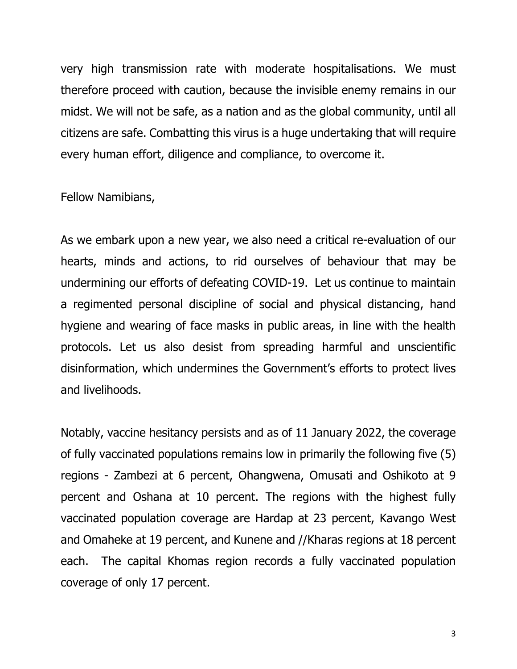very high transmission rate with moderate hospitalisations. We must therefore proceed with caution, because the invisible enemy remains in our midst. We will not be safe, as a nation and as the global community, until all citizens are safe. Combatting this virus is a huge undertaking that will require every human effort, diligence and compliance, to overcome it.

Fellow Namibians,

As we embark upon a new year, we also need a critical re-evaluation of our hearts, minds and actions, to rid ourselves of behaviour that may be undermining our efforts of defeating COVID-19. Let us continue to maintain a regimented personal discipline of social and physical distancing, hand hygiene and wearing of face masks in public areas, in line with the health protocols. Let us also desist from spreading harmful and unscientific disinformation, which undermines the Government's efforts to protect lives and livelihoods.

Notably, vaccine hesitancy persists and as of 11 January 2022, the coverage of fully vaccinated populations remains low in primarily the following five (5) regions - Zambezi at 6 percent, Ohangwena, Omusati and Oshikoto at 9 percent and Oshana at 10 percent. The regions with the highest fully vaccinated population coverage are Hardap at 23 percent, Kavango West and Omaheke at 19 percent, and Kunene and //Kharas regions at 18 percent each. The capital Khomas region records a fully vaccinated population coverage of only 17 percent.